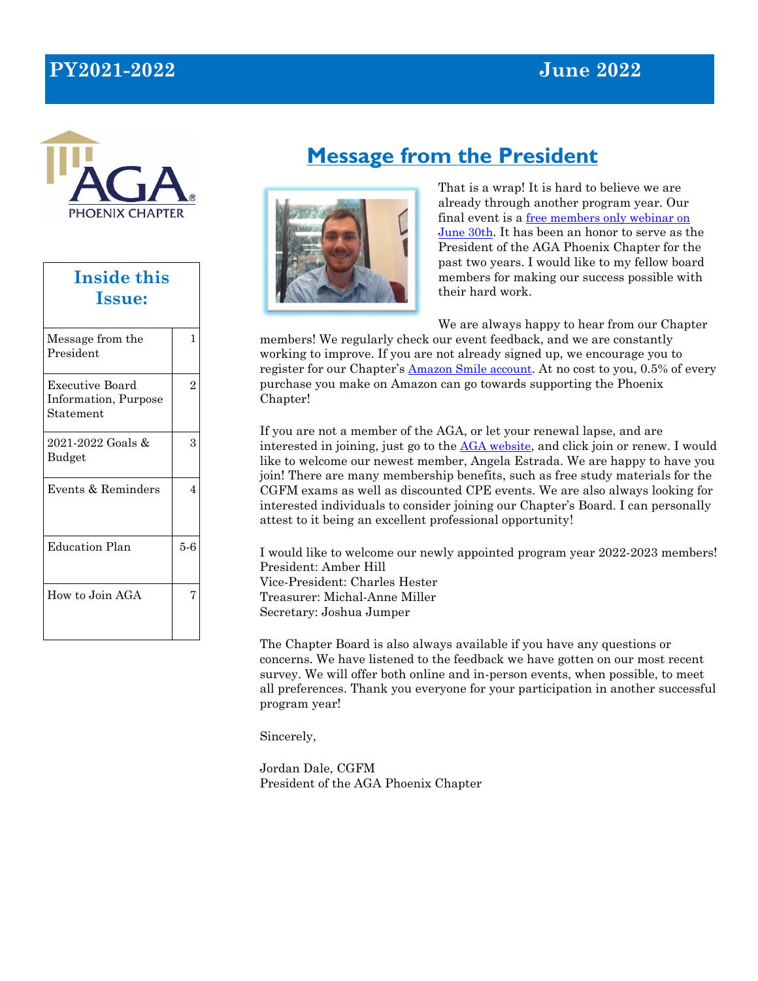# **PY2021-2022 June 2022**



| <b>Inside this</b><br><b>Issue:</b>                  |                |  |  |
|------------------------------------------------------|----------------|--|--|
| Message from the<br>President                        | 1              |  |  |
| Executive Board<br>Information, Purpose<br>Statement | $\overline{2}$ |  |  |
| 2021-2022 Goals &<br>Budget                          | 3              |  |  |
| Events & Reminders                                   | $\overline{4}$ |  |  |
| <b>Education Plan</b>                                | $5-6$          |  |  |
| How to Join AGA                                      | 7              |  |  |

# **Message from the President**



That is a wrap! It is hard to believe we are already through another program year. Our final event is a [free members only webinar on](https://www.agacgfm.org/Webinars/2021-2022-Webinars/June-Members-Only-Webinar-(1).aspx)  [June 30th](https://www.agacgfm.org/Webinars/2021-2022-Webinars/June-Members-Only-Webinar-(1).aspx). It has been an honor to serve as the President of the AGA Phoenix Chapter for the past two years. I would like to my fellow board members for making our success possible with their hard work.

We are always happy to hear from our Chapter

members! We regularly check our event feedback, and we are constantly working to improve. If you are not already signed up, we encourage you to register for our Chapter's [Amazon Smile account](https://www.agacgfm.org/Chapters/Phoenix-Chapter/Our-Chapter/Amazon-Smile.aspx). At no cost to you, 0.5% of every purchase you make on Amazon can go towards supporting the Phoenix Chapter!

If you are not a member of the AGA, or let your renewal lapse, and are interested in joining, just go to the [AGA website](https://www.agacgfm.org/Membership/Learn-About-AGA/Join-or-Renew.aspx), and click join or renew. I would like to welcome our newest member, Angela Estrada. We are happy to have you join! There are many membership benefits, such as free study materials for the CGFM exams as well as discounted CPE events. We are also always looking for interested individuals to consider joining our Chapter's Board. I can personally attest to it being an excellent professional opportunity!

I would like to welcome our newly appointed program year 2022-2023 members! President: Amber Hill Vice-President: Charles Hester Treasurer: Michal-Anne Miller Secretary: Joshua Jumper

The Chapter Board is also always available if you have any questions or concerns. We have listened to the feedback we have gotten on our most recent survey. We will offer both online and in-person events, when possible, to meet all preferences. Thank you everyone for your participation in another successful program year!

Sincerely,

Jordan Dale, CGFM President of the AGA Phoenix Chapter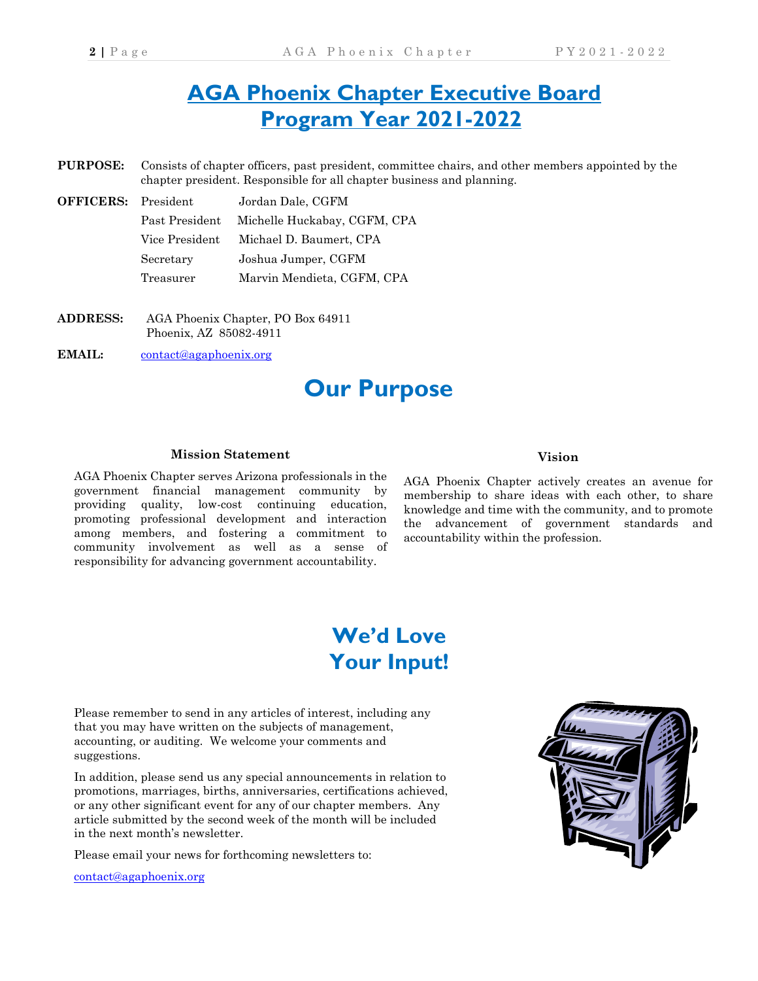# **AGA Phoenix Chapter Executive Board Program Year 2021-2022**

- **PURPOSE:** Consists of chapter officers, past president, committee chairs, and other members appointed by the chapter president. Responsible for all chapter business and planning.
- **OFFICERS:** President Jordan Dale, CGFM Past President Michelle Huckabay, CGFM, CPA Vice President Michael D. Baumert, CPA Secretary Joshua Jumper, CGFM Treasurer Marvin Mendieta, CGFM, CPA
- **ADDRESS:** AGA Phoenix Chapter, PO Box 64911 Phoenix, AZ 85082-4911
- EMAIL: contact@agaphoenix.org

# **Our Purpose**

#### **Mission Statement**

AGA Phoenix Chapter serves Arizona professionals in the government financial management community by providing quality, low-cost continuing education, promoting professional development and interaction among members, and fostering a commitment to community involvement as well as a sense of responsibility for advancing government accountability.

### **Vision**

AGA Phoenix Chapter actively creates an avenue for membership to share ideas with each other, to share knowledge and time with the community, and to promote the advancement of government standards and accountability within the profession.

# **We'd Love Your Input!**

Please remember to send in any articles of interest, including any that you may have written on the subjects of management, accounting, or auditing. We welcome your comments and suggestions.

In addition, please send us any special announcements in relation to promotions, marriages, births, anniversaries, certifications achieved, or any other significant event for any of our chapter members. Any article submitted by the second week of the month will be included in the next month's newsletter.

Please email your news for forthcoming newsletters to:

contact@agaphoenix.org

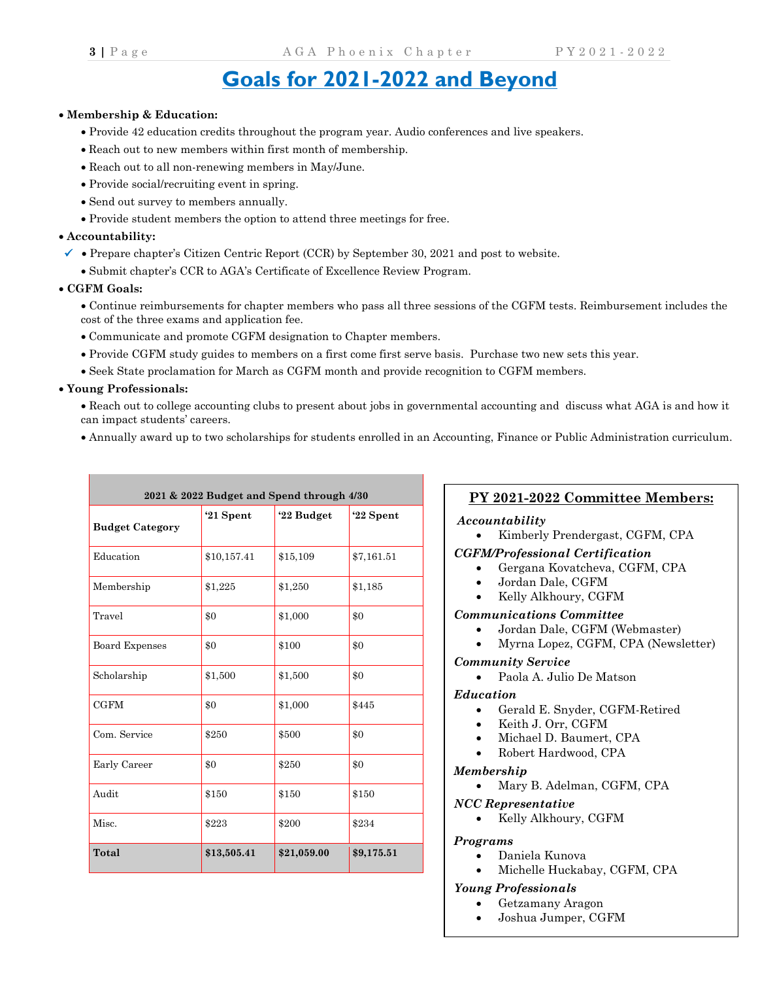# **Goals for 2021-2022 and Beyond**

#### • **Membership & Education:**

- Provide 42 education credits throughout the program year. Audio conferences and live speakers.
- Reach out to new members within first month of membership.
- Reach out to all non-renewing members in May/June.
- Provide social/recruiting event in spring.
- Send out survey to members annually.
- Provide student members the option to attend three meetings for free.

#### • **Accountability:**

- $\checkmark$  Prepare chapter's Citizen Centric Report (CCR) by September 30, 2021 and post to website.
	- Submit chapter's CCR to AGA's Certificate of Excellence Review Program.

#### • **CGFM Goals:**

• Continue reimbursements for chapter members who pass all three sessions of the CGFM tests. Reimbursement includes the cost of the three exams and application fee.

- Communicate and promote CGFM designation to Chapter members.
- Provide CGFM study guides to members on a first come first serve basis. Purchase two new sets this year.
- Seek State proclamation for March as CGFM month and provide recognition to CGFM members.

### • **Young Professionals:**

• Reach out to college accounting clubs to present about jobs in governmental accounting and discuss what AGA is and how it can impact students' careers.

• Annually award up to two scholarships for students enrolled in an Accounting, Finance or Public Administration curriculum.

| 2021 & 2022 Budget and Spend through 4/30 |             |             |            |  |
|-------------------------------------------|-------------|-------------|------------|--|
| <b>Budget Category</b>                    | '21 Spent   | '22 Budget  | '22 Spent  |  |
| Education                                 | \$10,157.41 | \$15,109    | \$7,161.51 |  |
| Membership                                | \$1,225     | \$1,250     | \$1,185    |  |
| Travel                                    | \$0         | \$1,000     | \$0        |  |
| <b>Board Expenses</b>                     | \$0         | \$100       | $\$0$      |  |
| Scholarship                               | \$1,500     | \$1,500     | \$0        |  |
| <b>CGFM</b>                               | \$0         | \$1,000     | \$445      |  |
| Com. Service                              | \$250       | \$500       | $\$0$      |  |
| Early Career                              | \$0         | \$250       | \$0        |  |
| Audit                                     | \$150       | \$150       | \$150      |  |
| Misc.                                     | \$223       | \$200       | \$234      |  |
| Total                                     | \$13,505.41 | \$21,059.00 | \$9,175.51 |  |

## **PY 2021-2022 Committee Members:**

### *Accountability*

• Kimberly Prendergast, CGFM, CPA

### *CGFM/Professional Certification*

- Gergana Kovatcheva, CGFM, CPA
- Jordan Dale, CGFM
- Kelly Alkhoury, CGFM

### *Communications Committee*

- Jordan Dale, CGFM (Webmaster)
- Myrna Lopez, CGFM, CPA (Newsletter)

### *Community Service*

• Paola A. Julio De Matson

#### *Education*

- Gerald E. Snyder, CGFM-Retired
- Keith J. Orr, CGFM
- Michael D. Baumert, CPA
- Robert Hardwood, CPA

#### *Membership*

- Mary B. Adelman, CGFM, CPA
- *NCC Representative*
	- Kelly Alkhoury, CGFM

### *Programs*

- Daniela Kunova
- Michelle Huckabay, CGFM, CPA

### *Young Professionals*

- Getzamany Aragon
- Joshua Jumper, CGFM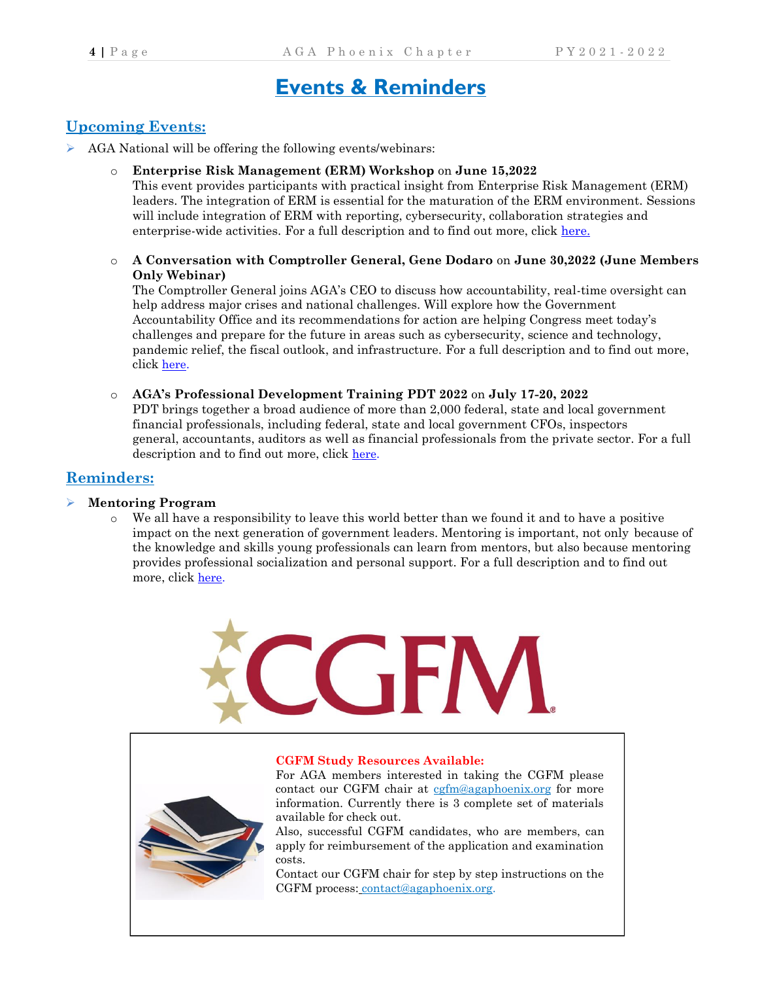# **Events & Reminders**

# **Upcoming Events:**

- ➢ AGA National will be offering the following events/webinars:
	- o **Enterprise Risk Management (ERM) Workshop** on **June 15,2022**

This event provides participants with practical insight from Enterprise Risk Management (ERM) leaders. The integration of ERM is essential for the maturation of the ERM environment. Sessions will include integration of ERM with reporting, cybersecurity, collaboration strategies and enterprise-wide activities. For a full description and to find out more, click [here.](https://www.agacgfm.org/ERMWorkshop/Home.aspx)

o **A Conversation with Comptroller General, Gene Dodaro** on **June 30,2022 (June Members Only Webinar)**

The Comptroller General joins AGA's CEO to discuss how accountability, real-time oversight can help address major crises and national challenges. Will explore how the Government Accountability Office and its recommendations for action are helping Congress meet today's challenges and prepare for the future in areas such as cybersecurity, science and technology, pandemic relief, the fiscal outlook, and infrastructure. For a full description and to find out more, click [here.](https://www.agacgfm.org/Webinars/2021-2022-Webinars/June-Members-Only-Webinar-(1).aspx)

o **AGA's Professional Development Training PDT 2022** on **July 17-20, 2022** PDT brings together a broad audience of more than 2,000 federal, state and local government financial professionals, including federal, state and local government CFOs, inspectors general, accountants, auditors as well as financial professionals from the private sector. For a full description and to find out more, click [here.](https://www.agacgfm.org/PDT/Home.aspx)

# **Reminders:**

### ➢ **Mentoring Program**

o We all have a responsibility to leave this world better than we found it and to have a positive impact on the next generation of government leaders. Mentoring is important, not only because of the knowledge and skills young professionals can learn from mentors, but also because mentoring provides professional socialization and personal support. For a full description and to find out more, click [here.](https://www.agacgfm.org/Membership/Connect/Mentoring-Program.aspx)



#### **CGFM Study Resources Available:**

For AGA members interested in taking the CGFM please contact our CGFM chair at [cgfm@agaphoenix.org](mailto:cgfm@agaphoenix.org) for more information. Currently there is 3 complete set of materials available for check out.

Also, successful CGFM candidates, who are members, can apply for reimbursement of the application and examination costs.

Contact our CGFM chair for step by step instructions on the CGFM process: contac[t@agaphoenix.org.](https://webmail.west.cox.net/do/mail/message/mailto?to=CGFM%40agaphoenix.org)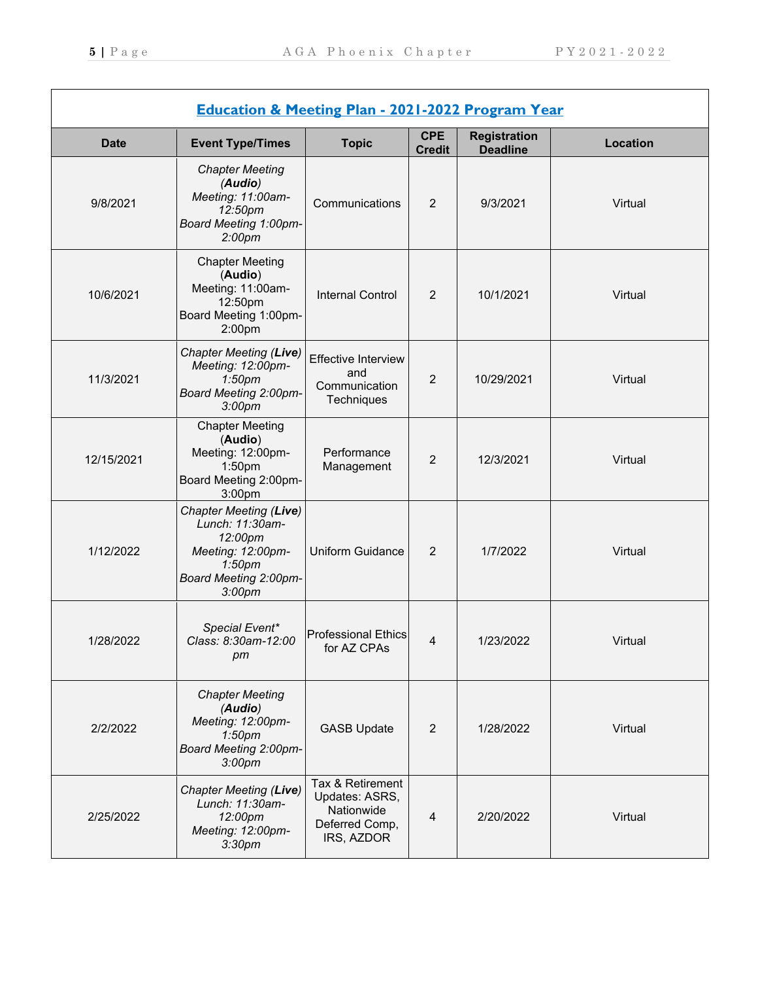| <b>Education &amp; Meeting Plan - 2021-2022 Program Year</b> |                                                                                                                                                |                                                                                  |                             |                                        |                 |
|--------------------------------------------------------------|------------------------------------------------------------------------------------------------------------------------------------------------|----------------------------------------------------------------------------------|-----------------------------|----------------------------------------|-----------------|
| <b>Date</b>                                                  | <b>Event Type/Times</b>                                                                                                                        | <b>Topic</b>                                                                     | <b>CPE</b><br><b>Credit</b> | <b>Registration</b><br><b>Deadline</b> | <b>Location</b> |
| 9/8/2021                                                     | <b>Chapter Meeting</b><br>(Audio)<br>Meeting: 11:00am-<br>12:50pm<br><b>Board Meeting 1:00pm-</b><br>2:00 <sub>pm</sub>                        | Communications                                                                   | $\overline{2}$              | 9/3/2021                               | Virtual         |
| 10/6/2021                                                    | <b>Chapter Meeting</b><br>(Audio)<br>Meeting: 11:00am-<br>12:50pm<br>Board Meeting 1:00pm-<br>2:00 <sub>pm</sub>                               | <b>Internal Control</b>                                                          | $\overline{2}$              | 10/1/2021                              | Virtual         |
| 11/3/2021                                                    | Chapter Meeting (Live)<br>Meeting: 12:00pm-<br>1:50 <sub>pm</sub><br>Board Meeting 2:00pm-<br>3:00 <sub>pm</sub>                               | <b>Effective Interview</b><br>and<br>Communication<br>Techniques                 | $\overline{2}$              | 10/29/2021                             | Virtual         |
| 12/15/2021                                                   | <b>Chapter Meeting</b><br>(Audio)<br>Meeting: 12:00pm-<br>1:50 <sub>pm</sub><br>Board Meeting 2:00pm-<br>3:00pm                                | Performance<br>Management                                                        | $\overline{2}$              | 12/3/2021                              | Virtual         |
| 1/12/2022                                                    | Chapter Meeting (Live)<br>Lunch: 11:30am-<br>12:00pm<br>Meeting: 12:00pm-<br>1:50 <sub>pm</sub><br>Board Meeting 2:00pm-<br>3:00 <sub>pm</sub> | <b>Uniform Guidance</b>                                                          | $\overline{2}$              | 1/7/2022                               | Virtual         |
| 1/28/2022                                                    | Special Event*<br>Class: 8:30am-12:00<br>pm                                                                                                    | <b>Professional Ethics</b><br>tor AZ CPAs                                        | 4                           | 1/23/2022                              | Virtual         |
| 2/2/2022                                                     | <b>Chapter Meeting</b><br>(Audio)<br>Meeting: 12:00pm-<br>1:50 <sub>pm</sub><br>Board Meeting 2:00pm-<br>3:00 <sub>pm</sub>                    | <b>GASB Update</b>                                                               | $\overline{2}$              | 1/28/2022                              | Virtual         |
| 2/25/2022                                                    | Chapter Meeting (Live)<br>Lunch: 11:30am-<br>12:00pm<br>Meeting: 12:00pm-<br>3:30 <sub>pm</sub>                                                | Tax & Retirement<br>Updates: ASRS,<br>Nationwide<br>Deferred Comp,<br>IRS, AZDOR | $\overline{4}$              | 2/20/2022                              | Virtual         |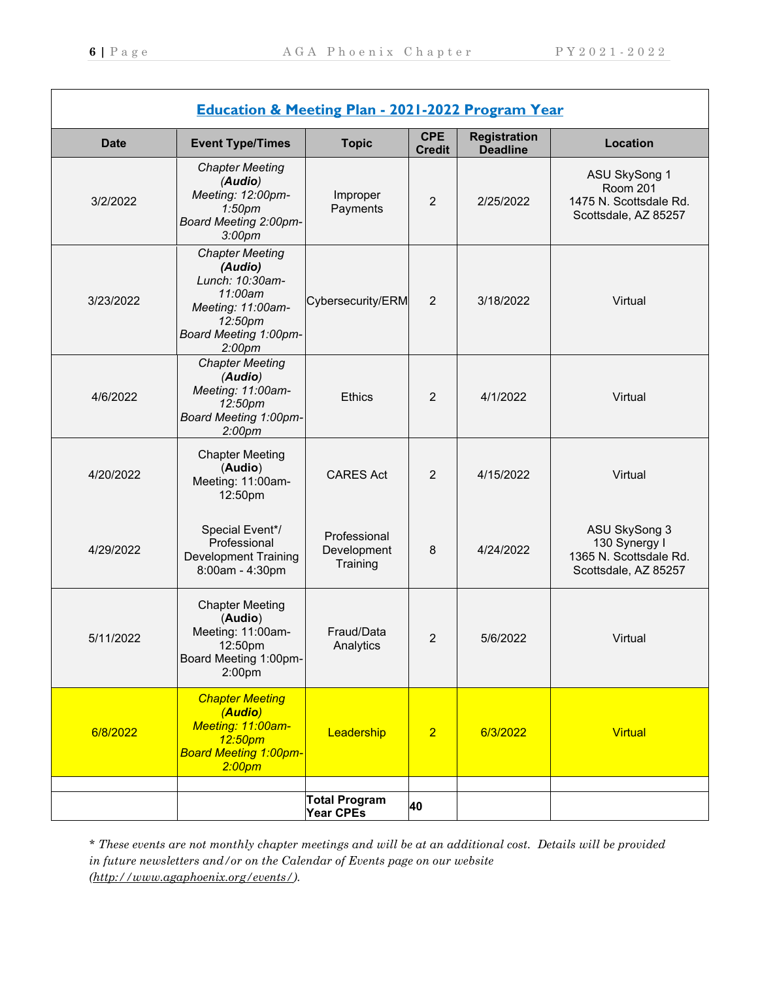| <b>Education &amp; Meeting Plan - 2021-2022 Program Year</b> |                                                                                                                                                |                                          |                             |                                        |                                                                                    |
|--------------------------------------------------------------|------------------------------------------------------------------------------------------------------------------------------------------------|------------------------------------------|-----------------------------|----------------------------------------|------------------------------------------------------------------------------------|
| <b>Date</b>                                                  | <b>Event Type/Times</b>                                                                                                                        | <b>Topic</b>                             | <b>CPE</b><br><b>Credit</b> | <b>Registration</b><br><b>Deadline</b> | Location                                                                           |
| 3/2/2022                                                     | <b>Chapter Meeting</b><br>(Audio)<br>Meeting: 12:00pm-<br>1:50 <sub>pm</sub><br>Board Meeting 2:00pm-<br>3:00 <sub>pm</sub>                    | Improper<br>Payments                     | $\overline{2}$              | 2/25/2022                              | ASU SkySong 1<br><b>Room 201</b><br>1475 N. Scottsdale Rd.<br>Scottsdale, AZ 85257 |
| 3/23/2022                                                    | <b>Chapter Meeting</b><br>(Audio)<br>Lunch: 10:30am-<br>11:00am<br>Meeting: 11:00am-<br>12:50pm<br>Board Meeting 1:00pm-<br>2:00 <sub>pm</sub> | Cybersecurity/ERM                        | $\overline{2}$              | 3/18/2022                              | Virtual                                                                            |
| 4/6/2022                                                     | <b>Chapter Meeting</b><br>(Audio)<br>Meeting: 11:00am-<br>12:50pm<br>Board Meeting 1:00pm-<br>2:00 <sub>pm</sub>                               | <b>Ethics</b>                            | $\overline{2}$              | 4/1/2022                               | Virtual                                                                            |
| 4/20/2022                                                    | <b>Chapter Meeting</b><br>(Audio)<br>Meeting: 11:00am-<br>12:50pm                                                                              | <b>CARES Act</b>                         | $\overline{2}$              | 4/15/2022                              | Virtual                                                                            |
| 4/29/2022                                                    | Special Event*/<br>Professional<br><b>Development Training</b><br>8:00am - 4:30pm                                                              | Professional<br>Development<br>Training  | 8                           | 4/24/2022                              | ASU SkySong 3<br>130 Synergy I<br>1365 N. Scottsdale Rd.<br>Scottsdale, AZ 85257   |
| 5/11/2022                                                    | <b>Chapter Meeting</b><br>(Audio)<br>Meeting: 11:00am-<br>12:50pm<br>Board Meeting 1:00pm-<br>2:00pm                                           | Fraud/Data<br>Analytics                  | 2                           | 5/6/2022                               | Virtual                                                                            |
| 6/8/2022                                                     | <b>Chapter Meeting</b><br>(Audio)<br>Meeting: 11:00am-<br>12:50pm<br><b>Board Meeting 1:00pm-</b><br>2:00 <sub>pm</sub>                        | Leadership                               | $\overline{2}$              | 6/3/2022                               | <b>Virtual</b>                                                                     |
|                                                              |                                                                                                                                                | <b>Total Program</b><br><b>Year CPEs</b> | 40                          |                                        |                                                                                    |

*\* These events are not monthly chapter meetings and will be at an additional cost. Details will be provided in future newsletters and/or on the Calendar of Events page on our website [\(http://www.agaphoenix.org/events/\)](http://www.agaphoenix.org/events/).*